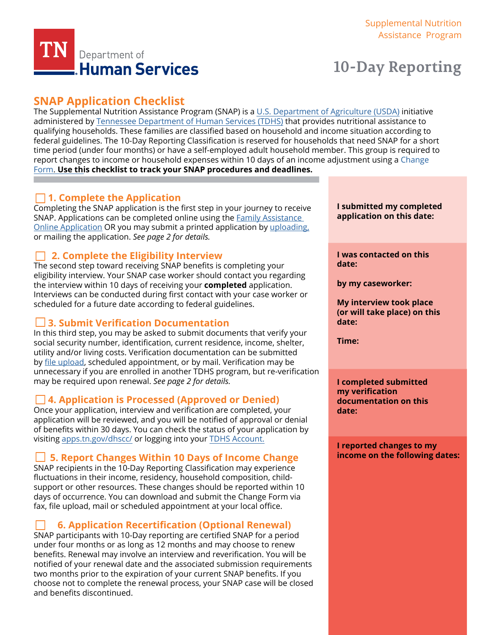

# **10-Day Reporting**

# **SNAP Application Checklist**

The Supplemental Nutrition Assistance Program (SNAP) is a [U.S. Department of Agriculture \(USDA\)](https://www.fns.usda.gov/) initiative administered by [Tennessee Department of Human Services \(TDHS\)](https://www.tn.gov/content/tn/humanservices.html) that provides nutritional assistance to qualifying households. These families are classified based on household and income situation according to [federal guidelines. The 10-Day Reporting Classification is reserved for households that need SNAP for a short](https://www.fns.usda.gov/)  time period (under four months) or have a self-employed adult household member. This group is required to report changes to income [or household expenses within 10 days of an income adjustment using a](https://www.tn.gov/humanservices/information-and-resources/dhs-forms-and-applications.html) Change Form. **Use this checklist to track your SNAP procedures and deadlines.**

### **1. Complete the Application**

Completing the SNAP application is the first step in your journey to receive SNAP. Applications can be completed online using the **Family Assistance** [Online Application](https://faonlineapp.dhs.tn.gov/) OR you may submit a printed application by [uploading,](https://fileupload.dhs.tn.gov/) or mailing the application. *See page 2 for details.* 

### **2. Complete the Eligibility Interview**

The second step toward receiving SNAP benefits is completing your eligibility interview. Your SNAP case worker should contact you regarding the interview within 10 days of receiving your **completed** application. Interviews can be conducted during first contact with your case worker or scheduled for a future date according to federal guidelines.

### **3. Submit Verification Documentation**

In this third step, you may be asked to submit documents that verify your social security number, identification, current residence, income, shelter, utility and/or living costs. Verification documentation can be submitted by [file upload,](https://fileupload.dhs.tn.gov/) scheduled appointment, or by mail. Verification may be unnecessary if you are enrolled in another TDHS program, but re-verification may be required upon renewal. *See page 2 for details.*

### **4. Application is Processed (Approved or Denied)**

Once your application, interview and verification are completed, your application will be reviewed, and you will be notified of approval or denial of benefits within 30 days. You can check the status of your application by visiting [apps.tn.gov/dhscc/](https://apps.tn.gov/dhscc/) or logging into your [TDHS Account.](https://apps.tn.gov/dhsaccess/)

### **5. Report Changes Within 10 Days of Income Change**

SNAP recipients in the 10-Day Reporting Classification may experience fluctuations in their income, residency, household composition, childsupport or other resources. These changes should be reported within 10 days of occurrence. You can download and submit the Change Form via fax, file upload, mail or scheduled appointment at your local office.

# **6. Application Recertification (Optional Renewal)**

SNAP participants with 10-Day reporting are certified SNAP for a period under four months or as long as 12 months and may choose to renew benefits. Renewal may involve an interview and reverification. You will be notified of your renewal date and the associated submission requirements two months prior to the expiration of your current SNAP benefits. If you choose not to complete the renewal process, your SNAP case will be closed and benefits discontinued.

**I submitted my completed application on this date:** 

**I was contacted on this date:** 

**by my caseworker:**

**My interview took place (or will take place) on this date:** 

**Time:** 

**I completed submitted my verification documentation on this date:** 

**I reported changes to my income on the following dates:**